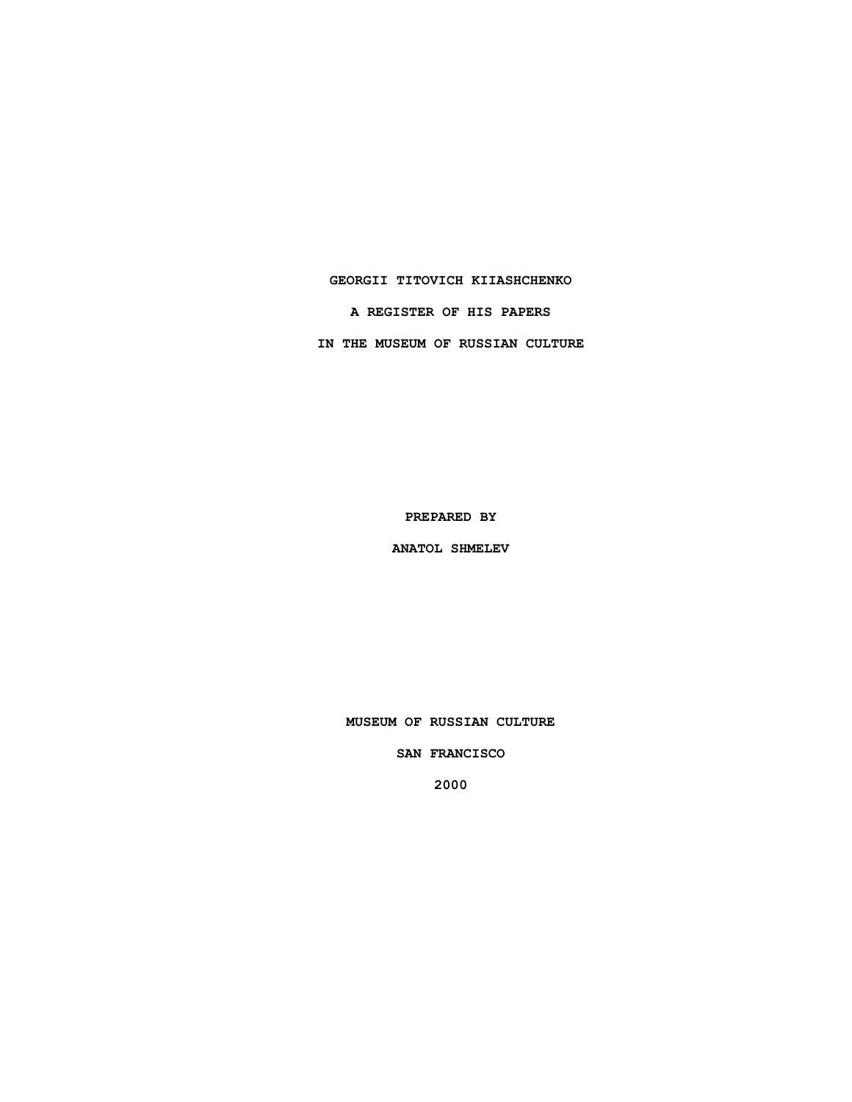## **GEORGII TITOVICH KIIASHCHENKO**

**A REGISTER OF HIS PAPERS**

**IN THE MUSEUM OF RUSSIAN CULTURE**

**PREPARED BY**

**ANATOL SHMELEV**

**MUSEUM OF RUSSIAN CULTURE**

**SAN FRANCISCO**

**2000**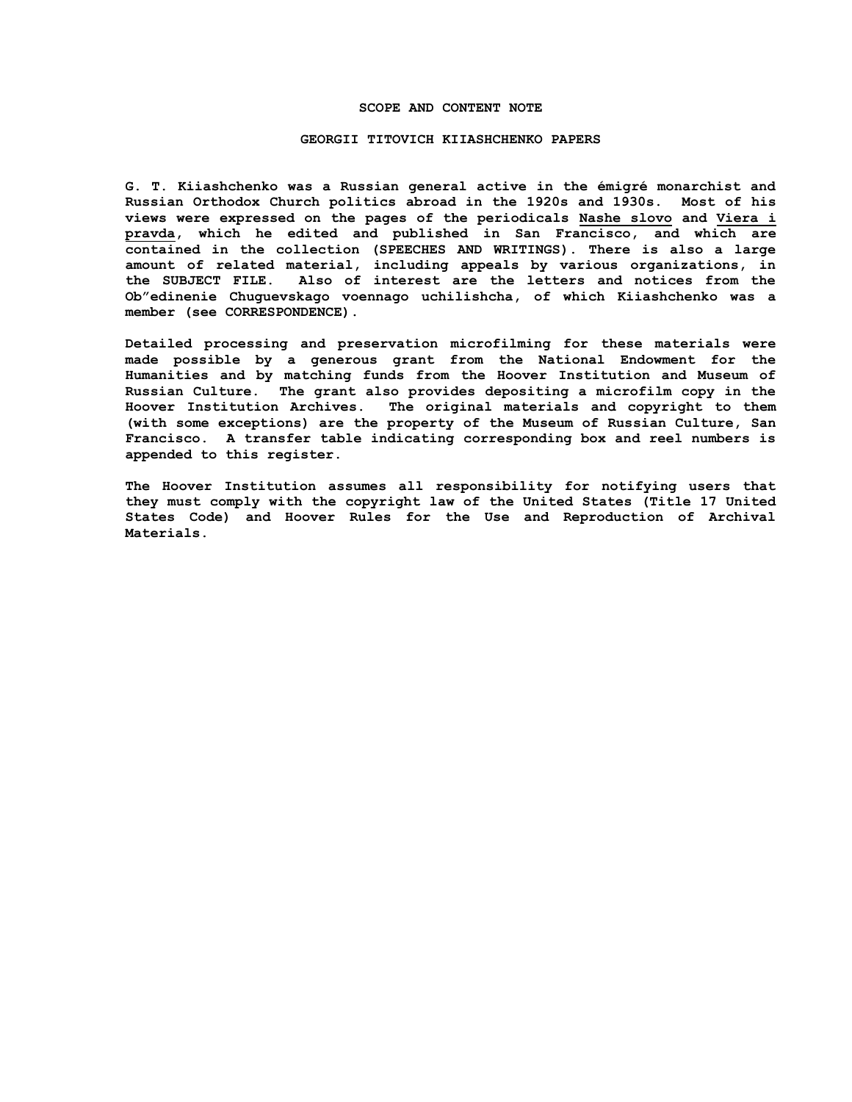#### **SCOPE AND CONTENT NOTE**

### **GEORGII TITOVICH KIIASHCHENKO PAPERS**

**G. T. Kiiashchenko was a Russian general active in the émigré monarchist and Russian Orthodox Church politics abroad in the 1920s and 1930s. Most of his views were expressed on the pages of the periodicals Nashe slovo and Viera i pravda, which he edited and published in San Francisco, and which are contained in the collection (SPEECHES AND WRITINGS). There is also a large amount of related material, including appeals by various organizations, in the SUBJECT FILE. Also of interest are the letters and notices from the Ob"edinenie Chuguevskago voennago uchilishcha, of which Kiiashchenko was a member (see CORRESPONDENCE).**

**Detailed processing and preservation microfilming for these materials were made possible by a generous grant from the National Endowment for the Humanities and by matching funds from the Hoover Institution and Museum of Russian Culture. The grant also provides depositing a microfilm copy in the Hoover Institution Archives. The original materials and copyright to them (with some exceptions) are the property of the Museum of Russian Culture, San Francisco. A transfer table indicating corresponding box and reel numbers is appended to this register.**

**The Hoover Institution assumes all responsibility for notifying users that they must comply with the copyright law of the United States (Title 17 United States Code) and Hoover Rules for the Use and Reproduction of Archival Materials.**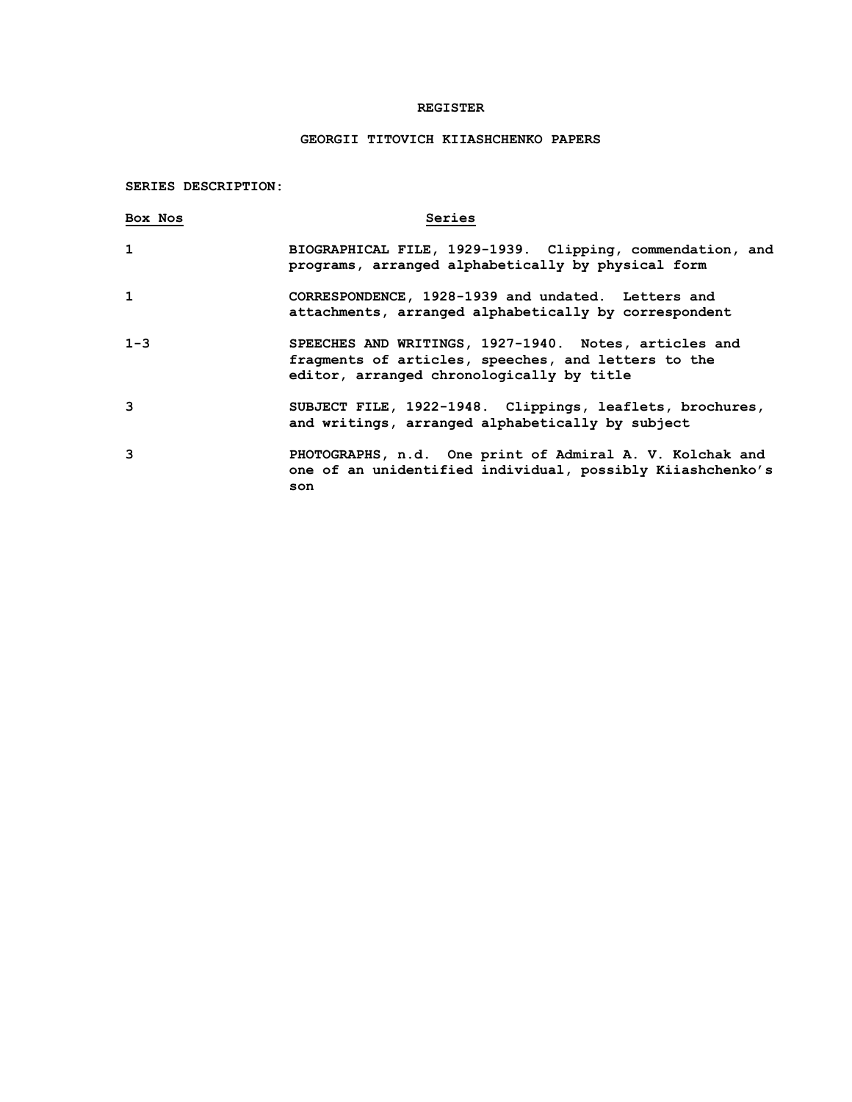## **REGISTER**

# **GEORGII TITOVICH KIIASHCHENKO PAPERS**

**SERIES DESCRIPTION:**

| Box Nos      | Series                                                                                                                                                    |
|--------------|-----------------------------------------------------------------------------------------------------------------------------------------------------------|
| $\mathbf{1}$ | BIOGRAPHICAL FILE, 1929-1939. Clipping, commendation, and<br>programs, arranged alphabetically by physical form                                           |
| 1            | CORRESPONDENCE, 1928-1939 and undated. Letters and<br>attachments, arranged alphabetically by correspondent                                               |
| $1 - 3$      | SPEECHES AND WRITINGS, 1927-1940. Notes, articles and<br>fragments of articles, speeches, and letters to the<br>editor, arranged chronologically by title |
| 3            | SUBJECT FILE, 1922-1948. Clippings, leaflets, brochures,<br>and writings, arranged alphabetically by subject                                              |
| 3            | PHOTOGRAPHS, n.d. One print of Admiral A. V. Kolchak and<br>one of an unidentified individual, possibly Kiiashchenko's<br>son                             |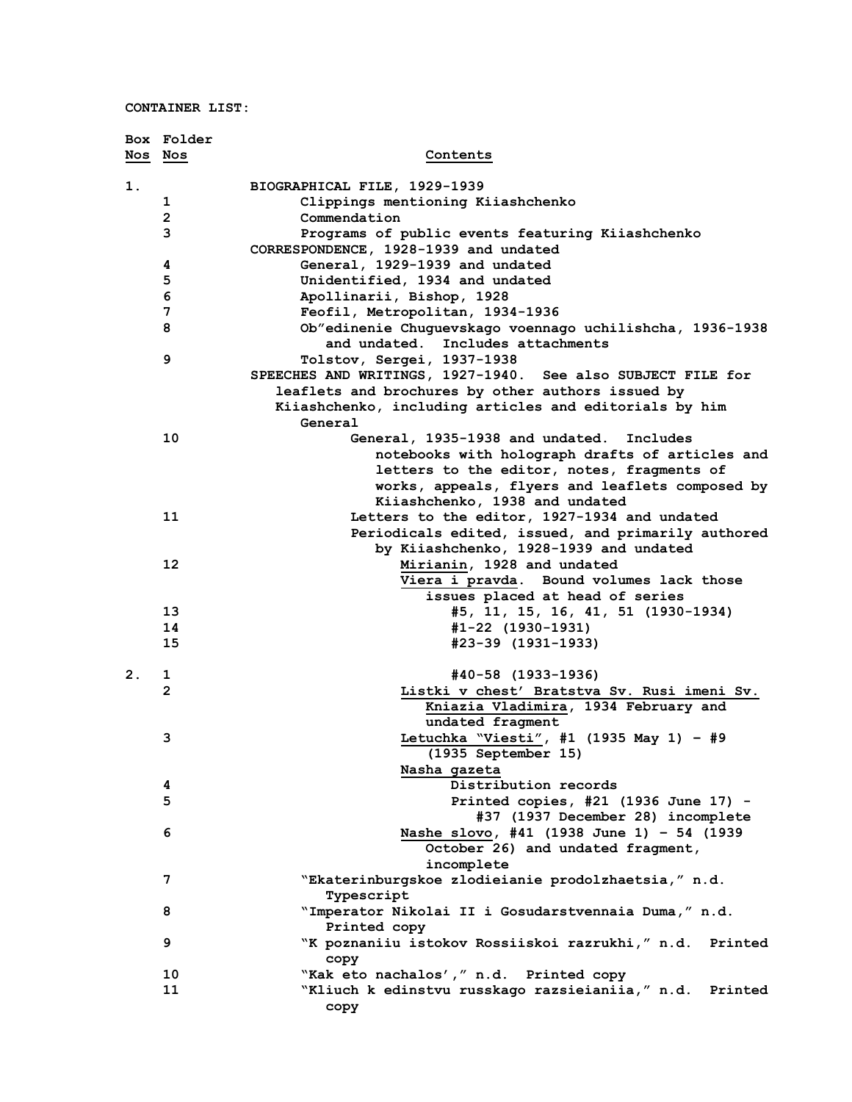**CONTAINER LIST:**

|         | Box Folder     |                                                                                               |
|---------|----------------|-----------------------------------------------------------------------------------------------|
| Nos Nos |                | Contents                                                                                      |
| 1.      |                | BIOGRAPHICAL FILE, 1929-1939                                                                  |
|         | 1              | Clippings mentioning Kiiashchenko                                                             |
|         | $\overline{2}$ | Commendation                                                                                  |
|         | 3              | Programs of public events featuring Kiiashchenko                                              |
|         |                | CORRESPONDENCE, 1928-1939 and undated                                                         |
|         | 4              | General, 1929-1939 and undated                                                                |
|         | 5              | Unidentified, 1934 and undated                                                                |
|         | 6              | Apollinarii, Bishop, 1928                                                                     |
|         | 7              | Feofil, Metropolitan, 1934-1936                                                               |
|         | 8              | Ob"edinenie Chuguevskago voennago uchilishcha, 1936-1938<br>and undated. Includes attachments |
|         | 9              | Tolstov, Sergei, 1937-1938                                                                    |
|         |                | SPEECHES AND WRITINGS, 1927-1940. See also SUBJECT FILE for                                   |
|         |                | leaflets and brochures by other authors issued by                                             |
|         |                | Kiiashchenko, including articles and editorials by him                                        |
|         |                | General                                                                                       |
|         | 10             | General, 1935-1938 and undated.<br>Includes                                                   |
|         |                | notebooks with holograph drafts of articles and                                               |
|         |                | letters to the editor, notes, fragments of                                                    |
|         |                | works, appeals, flyers and leaflets composed by                                               |
|         |                | Kiiashchenko, 1938 and undated                                                                |
|         | 11             | Letters to the editor, 1927-1934 and undated                                                  |
|         |                | Periodicals edited, issued, and primarily authored                                            |
|         |                | by Kiiashchenko, 1928-1939 and undated                                                        |
|         | 12             | Mirianin, 1928 and undated                                                                    |
|         |                | Viera i pravda. Bound volumes lack those                                                      |
|         |                | issues placed at head of series                                                               |
|         | 13             | #5, 11, 15, 16, 41, 51 (1930-1934)                                                            |
|         | 14             | #1-22 (1930-1931)                                                                             |
|         | 15             | #23-39 (1931-1933)                                                                            |
|         |                |                                                                                               |
| 2.      | 1              | #40-58 (1933-1936)                                                                            |
|         | $\overline{2}$ | Listki v chest' Bratstva Sv. Rusi imeni Sv.                                                   |
|         |                | Kniazia Vladimira, 1934 February and                                                          |
|         |                | undated fragment                                                                              |
|         | 3              | Letuchka "Viesti", #1 (1935 May 1) - #9                                                       |
|         |                | (1935 September 15)                                                                           |
|         | 4              | Nasha gazeta<br>Distribution records                                                          |
|         | 5              | Printed copies, #21 (1936 June 17) -                                                          |
|         |                | #37 (1937 December 28) incomplete                                                             |
|         | 6              | Nashe slovo, #41 (1938 June 1) - 54 (1939                                                     |
|         |                | October 26) and undated fragment,                                                             |
|         |                | incomplete                                                                                    |
|         | 7              | "Ekaterinburgskoe zlodieianie prodolzhaetsia," n.d.                                           |
|         |                | Typescript                                                                                    |
|         | 8              | "Imperator Nikolai II i Gosudarstvennaia Duma," n.d.                                          |
|         |                | Printed copy                                                                                  |
|         | 9              | "K poznaniiu istokov Rossiiskoi razrukhi," n.d. Printed                                       |
|         |                |                                                                                               |
|         | 10             | copy<br>"Kak eto nachalos', " n.d. Printed copy                                               |
|         | 11             | "Kliuch k edinstvu russkago razsieianiia," n.d. Printed                                       |
|         |                | copy                                                                                          |
|         |                |                                                                                               |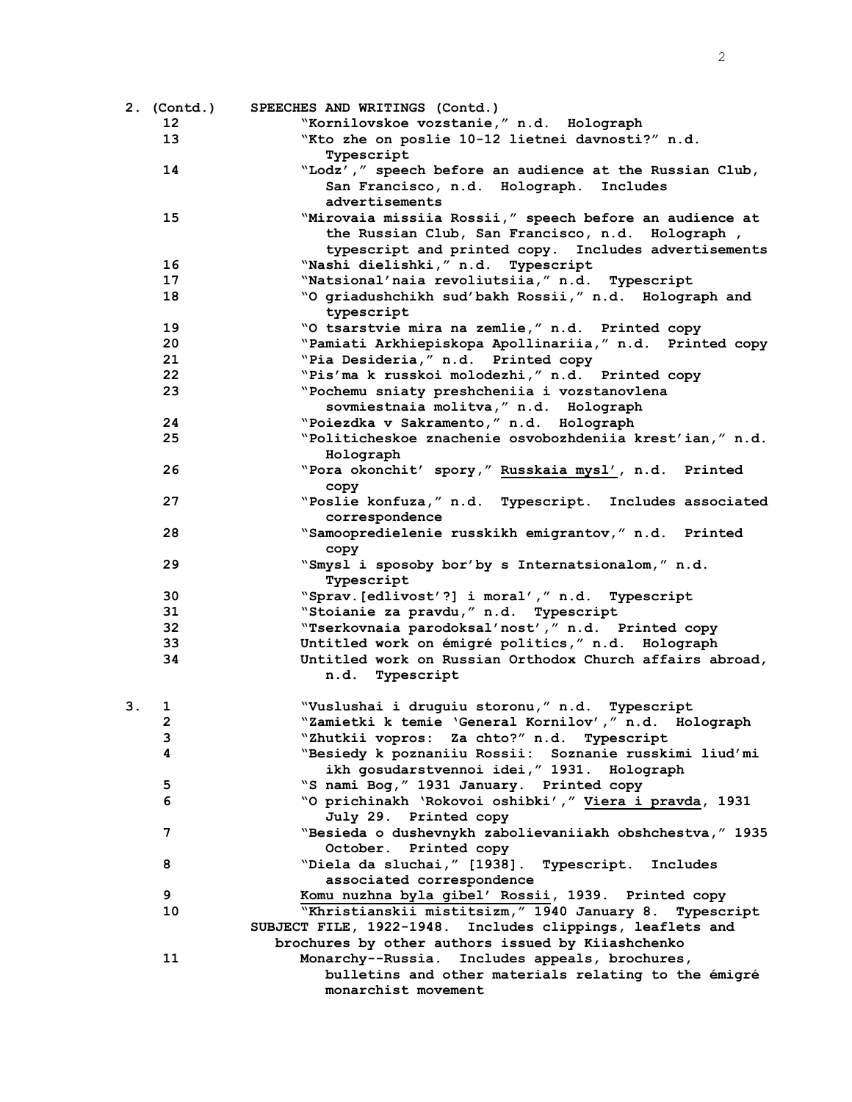|    | 2. (Contd.) | SPEECHES AND WRITINGS (Contd.)                                      |
|----|-------------|---------------------------------------------------------------------|
|    | 12          | "Kornilovskoe vozstanie," n.d. Holograph                            |
|    | 13          | "Kto zhe on poslie 10-12 lietnei davnosti?" n.d.                    |
|    |             | Typescript                                                          |
|    | 14          | "Lodz'," speech before an audience at the Russian Club,             |
|    |             | San Francisco, n.d. Holograph. Includes                             |
|    |             | advertisements                                                      |
|    | 15          | "Mirovaia missiia Rossii," speech before an audience at             |
|    |             | the Russian Club, San Francisco, n.d. Holograph,                    |
|    |             | typescript and printed copy. Includes advertisements                |
|    | 16          | "Nashi dielishki," n.d. Typescript                                  |
|    | 17          | "Natsional'naia revoliutsiia," n.d. Typescript                      |
|    | 18          | "O griadushchikh sud'bakh Rossii," n.d. Holograph and<br>typescript |
|    | 19          | "O tsarstvie mira na zemlie," n.d. Printed copy                     |
|    | 20          | "Pamiati Arkhiepiskopa Apollinariia," n.d. Printed copy             |
|    | 21          | "Pia Desideria, " n.d. Printed copy                                 |
|    | 22          | "Pis'ma k russkoi molodezhi," n.d. Printed copy                     |
|    | 23          | "Pochemu sniaty preshcheniia i vozstanovlena                        |
|    |             | sovmiestnaia molitva," n.d. Holograph                               |
|    | 24          | "Poiezdka v Sakramento," n.d. Holograph                             |
|    | 25          | "Politicheskoe znachenie osvobozhdeniia krest'ian," n.d.            |
|    |             | Holograph                                                           |
|    | 26          | "Pora okonchit' spory," Russkaia mysl', n.d. Printed<br>copy        |
|    | 27          | "Poslie konfuza," n.d. Typescript. Includes associated              |
|    |             | correspondence                                                      |
|    | 28          | "Samoopredielenie russkikh emigrantov," n.d. Printed                |
|    |             | copy                                                                |
|    | 29          | "Smysl i sposoby bor'by s Internatsionalom," n.d.                   |
|    |             | Typescript                                                          |
|    | 30          | "Sprav. [edlivost'?] i moral'," n.d. Typescript                     |
|    | 31          | "Stoianie za pravdu, " n.d. Typescript                              |
|    | 32          | "Tserkovnaia parodoksal'nost'," n.d. Printed copy                   |
|    | 33          | Untitled work on émigré politics," n.d. Holograph                   |
|    | 34          | Untitled work on Russian Orthodox Church affairs abroad,            |
|    |             | n.d. Typescript                                                     |
| З. | 1           | "Vuslushai i druguiu storonu," n.d. Typescript                      |
|    | 2           | "Zamietki k temie 'General Kornilov'," n.d. Holograph               |
|    | з           | "Zhutkii vopros: Za chto?" n.d. Typescript                          |
|    | 4           | "Besiedy k poznaniiu Rossii: Soznanie russkimi liud'mi              |
|    |             | ikh gosudarstvennoi idei, "1931. Holograph                          |
|    | 5           | "S nami Bog, " 1931 January. Printed copy                           |
|    | 6           | "O prichinakh 'Rokovoi oshibki'," Viera i pravda, 1931              |
|    |             | July 29. Printed copy                                               |
|    | 7           | "Besieda o dushevnykh zabolievaniiakh obshchestva," 1935            |
|    |             | October. Printed copy                                               |
|    | 8           | "Diela da sluchai, " [1938]. Typescript. Includes                   |
|    |             | associated correspondence                                           |
|    | 9           | Komu nuzhna byla gibel' Rossii, 1939. Printed copy                  |
|    | 10          | "Khristianskii mistitsizm," 1940 January 8. Typescript              |
|    |             | SUBJECT FILE, 1922-1948. Includes clippings, leaflets and           |
|    |             | brochures by other authors issued by Kiiashchenko                   |
|    | 11          | Monarchy--Russia. Includes appeals, brochures,                      |
|    |             | bulletins and other materials relating to the émigré                |
|    |             | monarchist movement                                                 |